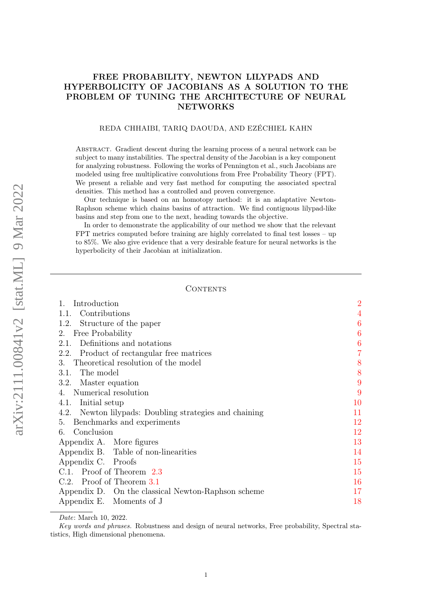# FREE PROBABILITY, NEWTON LILYPADS AND HYPERBOLICITY OF JACOBIANS AS A SOLUTION TO THE PROBLEM OF TUNING THE ARCHITECTURE OF NEURAL NETWORKS

## REDA CHHAIBI, TARIQ DAOUDA, AND EZÉCHIEL KAHN

Abstract. Gradient descent during the learning process of a neural network can be subject to many instabilities. The spectral density of the Jacobian is a key component for analyzing robustness. Following the works of Pennington et al., such Jacobians are modeled using free multiplicative convolutions from Free Probability Theory (FPT). We present a reliable and very fast method for computing the associated spectral densities. This method has a controlled and proven convergence.

Our technique is based on an homotopy method: it is an adaptative Newton-Raphson scheme which chains basins of attraction. We find contiguous lilypad-like basins and step from one to the next, heading towards the objective.

In order to demonstrate the applicability of our method we show that the relevant FPT metrics computed before training are highly correlated to final test losses – up to 85%. We also give evidence that a very desirable feature for neural networks is the hyperbolicity of their Jacobian at initialization.

### CONTENTS

| 1.1. Contributions<br>1.2. Structure of the paper<br>6<br>2. Free Probability<br>6<br>2.1. Definitions and notations<br>6<br>$\overline{7}$<br>2.2. Product of rectangular free matrices<br>3. Theoretical resolution of the model<br>8<br>8<br>3.1. The model<br>9<br>3.2. Master equation<br>9<br>4. Numerical resolution<br>4.1. Initial setup<br>10<br>11<br>4.2. Newton lilypads: Doubling strategies and chaining<br>12<br>5. Benchmarks and experiments<br>6. Conclusion<br>12<br>13<br>Appendix A. More figures<br>Appendix B. Table of non-linearities<br>14<br>Appendix C. Proofs<br>15<br>C.1. Proof of Theorem 2.3<br>15<br>C.2. Proof of Theorem 3.1<br>16<br>17<br>Appendix D. On the classical Newton-Raphson scheme<br>18 | Introduction             | $\overline{2}$ |
|-------------------------------------------------------------------------------------------------------------------------------------------------------------------------------------------------------------------------------------------------------------------------------------------------------------------------------------------------------------------------------------------------------------------------------------------------------------------------------------------------------------------------------------------------------------------------------------------------------------------------------------------------------------------------------------------------------------------------------------------|--------------------------|----------------|
|                                                                                                                                                                                                                                                                                                                                                                                                                                                                                                                                                                                                                                                                                                                                           |                          |                |
|                                                                                                                                                                                                                                                                                                                                                                                                                                                                                                                                                                                                                                                                                                                                           |                          |                |
|                                                                                                                                                                                                                                                                                                                                                                                                                                                                                                                                                                                                                                                                                                                                           |                          |                |
|                                                                                                                                                                                                                                                                                                                                                                                                                                                                                                                                                                                                                                                                                                                                           |                          |                |
|                                                                                                                                                                                                                                                                                                                                                                                                                                                                                                                                                                                                                                                                                                                                           |                          |                |
|                                                                                                                                                                                                                                                                                                                                                                                                                                                                                                                                                                                                                                                                                                                                           |                          |                |
|                                                                                                                                                                                                                                                                                                                                                                                                                                                                                                                                                                                                                                                                                                                                           |                          |                |
|                                                                                                                                                                                                                                                                                                                                                                                                                                                                                                                                                                                                                                                                                                                                           |                          |                |
|                                                                                                                                                                                                                                                                                                                                                                                                                                                                                                                                                                                                                                                                                                                                           |                          |                |
|                                                                                                                                                                                                                                                                                                                                                                                                                                                                                                                                                                                                                                                                                                                                           |                          |                |
|                                                                                                                                                                                                                                                                                                                                                                                                                                                                                                                                                                                                                                                                                                                                           |                          |                |
|                                                                                                                                                                                                                                                                                                                                                                                                                                                                                                                                                                                                                                                                                                                                           |                          |                |
|                                                                                                                                                                                                                                                                                                                                                                                                                                                                                                                                                                                                                                                                                                                                           |                          |                |
|                                                                                                                                                                                                                                                                                                                                                                                                                                                                                                                                                                                                                                                                                                                                           |                          |                |
|                                                                                                                                                                                                                                                                                                                                                                                                                                                                                                                                                                                                                                                                                                                                           |                          |                |
|                                                                                                                                                                                                                                                                                                                                                                                                                                                                                                                                                                                                                                                                                                                                           |                          |                |
|                                                                                                                                                                                                                                                                                                                                                                                                                                                                                                                                                                                                                                                                                                                                           |                          |                |
|                                                                                                                                                                                                                                                                                                                                                                                                                                                                                                                                                                                                                                                                                                                                           |                          |                |
|                                                                                                                                                                                                                                                                                                                                                                                                                                                                                                                                                                                                                                                                                                                                           |                          |                |
|                                                                                                                                                                                                                                                                                                                                                                                                                                                                                                                                                                                                                                                                                                                                           | Appendix E. Moments of J |                |

Date: March 10, 2022.

Key words and phrases. Robustness and design of neural networks, Free probability, Spectral statistics, High dimensional phenomena.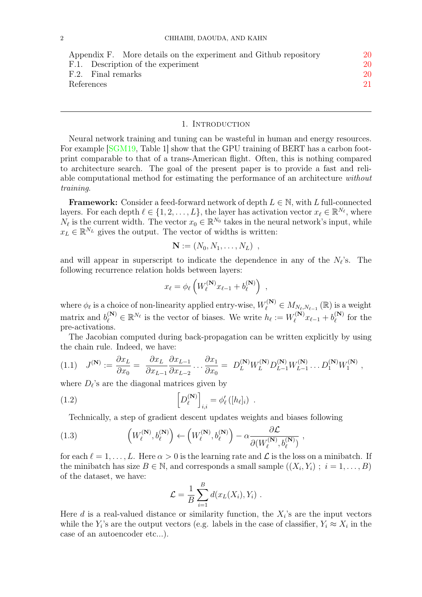| Appendix F. More details on the experiment and Github repository | 20 |
|------------------------------------------------------------------|----|
| F.1. Description of the experiment                               | 20 |
| F.2. Final remarks                                               | 20 |
| References                                                       | 21 |
|                                                                  |    |

#### 1. INTRODUCTION

<span id="page-1-0"></span>Neural network training and tuning can be wasteful in human and energy resources. For example SGM19, Table 1 show that the GPU training of BERT has a carbon footprint comparable to that of a trans-American flight. Often, this is nothing compared to architecture search. The goal of the present paper is to provide a fast and reliable computational method for estimating the performance of an architecture without training.

**Framework:** Consider a feed-forward network of depth  $L \in \mathbb{N}$ , with L full-connected layers. For each depth  $\ell \in \{1, 2, ..., L\}$ , the layer has activation vector  $x_{\ell} \in \mathbb{R}^{N_{\ell}}$ , where  $N_{\ell}$  is the current width. The vector  $x_0 \in \mathbb{R}^{N_0}$  takes in the neural network's input, while  $x_L \in \mathbb{R}^{N_L}$  gives the output. The vector of widths is written:

$$
\mathbf{N} := (N_0, N_1, \ldots, N_L) \, ,
$$

and will appear in superscript to indicate the dependence in any of the  $N_{\ell}$ 's. The following recurrence relation holds between layers:

$$
x_{\ell} = \phi_{\ell} \left( W_{\ell}^{(\mathbf{N})} x_{\ell-1} + b_{\ell}^{(\mathbf{N})} \right) ,
$$

where  $\phi_{\ell}$  is a choice of non-linearity applied entry-wise,  $W_{\ell}^{(\mathbf{N})} \in M_{N_{\ell},N_{\ell-1}}(\mathbb{R})$  is a weight matrix and  $b_{\ell}^{(N)} \in \mathbb{R}^{N_{\ell}}$  is the vector of biases. We write  $h_{\ell} := W_{\ell}^{(N)}$  $v_{\ell}^{(\mathbf{N})}x_{\ell-1} + b_{\ell}^{(\mathbf{N})}$  $\ell^{(N)}$  for the pre-activations.

The Jacobian computed during back-propagation can be written explicitly by using the chain rule. Indeed, we have:

<span id="page-1-1"></span>
$$
(1.1) \quad J^{(\mathbf{N})} := \frac{\partial x_L}{\partial x_0} = \frac{\partial x_L}{\partial x_{L-1}} \frac{\partial x_{L-1}}{\partial x_{L-2}} \dots \frac{\partial x_1}{\partial x_0} = D_L^{(\mathbf{N})} W_L^{(\mathbf{N})} D_{L-1}^{(\mathbf{N})} W_L^{(\mathbf{N})} \dots D_1^{(\mathbf{N})} W_1^{(\mathbf{N})} ,
$$

where  $D_{\ell}$ 's are the diagonal matrices given by

<span id="page-1-3"></span>(1.2) 
$$
\left[D_{\ell}^{(\mathbf{N})}\right]_{i,i} = \phi'_{\ell}\left(\left[h_{\ell}\right]_{i}\right) .
$$

Technically, a step of gradient descent updates weights and biases following

<span id="page-1-2"></span>(1.3) 
$$
\left(W_{\ell}^{(\mathbf{N})}, b_{\ell}^{(\mathbf{N})}\right) \leftarrow \left(W_{\ell}^{(\mathbf{N})}, b_{\ell}^{(\mathbf{N})}\right) - \alpha \frac{\partial \mathcal{L}}{\partial(W_{\ell}^{(\mathbf{N})}, b_{\ell}^{(\mathbf{N})})},
$$

for each  $\ell = 1, \ldots, L$ . Here  $\alpha > 0$  is the learning rate and  $\mathcal L$  is the loss on a minibatch. If the minibatch has size  $B \in \mathbb{N}$ , and corresponds a small sample  $((X_i, Y_i) ; i = 1, ..., B)$ of the dataset, we have:

$$
\mathcal{L} = \frac{1}{B} \sum_{i=1}^{B} d(x_L(X_i), Y_i) .
$$

Here  $d$  is a real-valued distance or similarity function, the  $X_i$ 's are the input vectors while the  $Y_i$ 's are the output vectors (e.g. labels in the case of classifier,  $Y_i \approx X_i$  in the case of an autoencoder etc...).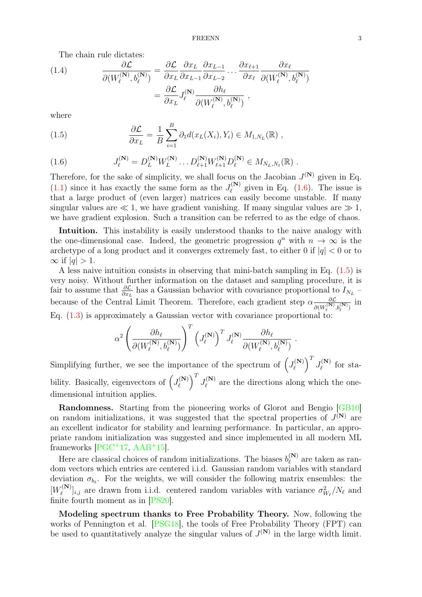The chain rule dictates:

(1.4) 
$$
\frac{\partial \mathcal{L}}{\partial (W_{\ell}^{(\mathbf{N})}, b_{\ell}^{(\mathbf{N})})} = \frac{\partial \mathcal{L}}{\partial x_L} \frac{\partial x_L}{\partial x_{L-1}} \frac{\partial x_{L-1}}{\partial x_{L-2}} \dots \frac{\partial x_{\ell+1}}{\partial x_{\ell}} \frac{\partial x_{\ell}}{\partial (W_{\ell}^{(\mathbf{N})}, b_{\ell}^{(\mathbf{N})})} \n= \frac{\partial \mathcal{L}}{\partial x_L} J_{\ell}^{(\mathbf{N})} \frac{\partial h_{\ell}}{\partial (W_{\ell}^{(\mathbf{N})}, b_{\ell}^{(\mathbf{N})})},
$$

where

<span id="page-2-1"></span>(1.5) 
$$
\frac{\partial \mathcal{L}}{\partial x_L} = \frac{1}{B} \sum_{i=1}^B \partial_1 d(x_L(X_i), Y_i) \in M_{1, N_L}(\mathbb{R}),
$$

<span id="page-2-0"></span>(1.6) 
$$
J_{\ell}^{(\mathbf{N})} = D_{L}^{(\mathbf{N})} W_{L}^{(\mathbf{N})} \dots D_{\ell+1}^{(\mathbf{N})} W_{\ell+1}^{(\mathbf{N})} D_{\ell}^{(\mathbf{N})} \in M_{N_{L},N_{\ell}}(\mathbb{R}) .
$$

Therefore, for the sake of simplicity, we shall focus on the Jacobian  $J^{(N)}$  given in Eq.  $(1.1)$  since it has exactly the same form as the  $J_{\ell}^{(N)}$  $\ell^{(N)}$  given in Eq. [\(1.6\)](#page-2-0). The issue is that a large product of (even larger) matrices can easily become unstable. If many singular values are  $\ll 1$ , we have gradient vanishing. If many singular values are  $\gg 1$ , we have gradient explosion. Such a transition can be referred to as the edge of chaos.

Intuition. This instability is easily understood thanks to the naive analogy with the one-dimensional case. Indeed, the geometric progression  $q^n$  with  $n \to \infty$  is the archetype of a long product and it converges extremely fast, to either 0 if  $|q| < 0$  or to  $\infty$  if |q| > 1.

A less naive intuition consists in observing that mini-batch sampling in Eq.  $(1.5)$  is very noisy. Without further information on the dataset and sampling procedure, it is fair to assume that  $\frac{\partial \mathcal{L}}{\partial x_L}$  has a Gaussian behavior with covariance proportional to  $I_{N_L}$ because of the Central Limit Theorem. Therefore, each gradient step  $\alpha \frac{\partial \mathcal{L}}{\partial (N)}$  $\frac{\partial \mathcal{L}}{\partial (W_{\ell}^{(\mathbf{N})},b_{\ell}^{(\mathbf{N})})}$  in Eq. [\(1.3\)](#page-1-2) is approximately a Gaussian vector with covariance proportional to:

$$
\alpha^2\left(\frac{\partial h_\ell}{\partial(W^{(\mathbf{N})}_\ell,b^{(\mathbf{N})}_\ell)}\right)^T\left(J^{(\mathbf{N})}_\ell\right)^TJ^{(\mathbf{N})}_\ell\frac{\partial h_\ell}{\partial(W^{(\mathbf{N})}_\ell,b^{(\mathbf{N})}_\ell)}\\
$$

.

Simplifying further, we see the importance of the spectrum of  $\left( J_{\ell}^{(N)} \right)$  $\left( \begin{matrix} \mathbf{N} \end{matrix} \right)^T J_\ell^{(\mathbf{N})}$  $\int_{\ell}^{(N)}$  for stability. Basically, eigenvectors of  $\left( J_{\ell}^{(N)} \right)$  $\left( \begin{matrix} \mathbf{N} \end{matrix} \right)^T J_\ell^{(\mathbf{N})}$  $\ell^{(N)}$  are the directions along which the onedimensional intuition applies.

Randomness. Starting from the pioneering works of Glorot and Bengio [\[GB10\]](#page-20-1) on random initializations, it was suggested that the spectral properties of  $J^{(N)}$  are an excellent indicator for stability and learning performance. In particular, an appropriate random initialization was suggested and since implemented in all modern ML frameworks  $[PGC+17, AAB+15]$  $[PGC+17, AAB+15]$  $[PGC+17, AAB+15]$  $[PGC+17, AAB+15]$ .

Here are classical choices of random initializations. The biases  $b_{\ell}^{(N)}$  $\chi_{\ell}^{(N)}$  are taken as random vectors which entries are centered i.i.d. Gaussian random variables with standard deviation  $\sigma_{b_{\ell}}$ . For the weights, we will consider the following matrix ensembles: the  $[W_{\ell}^{(\mathbf{N})}]$  $[\ell^{(N)}]_{i,j}$  are drawn from i.i.d. centered random variables with variance  $\sigma_{W_\ell}^2/N_\ell$  and finite fourth moment as in [\[PS20\]](#page-20-4).

Modeling spectrum thanks to Free Probability Theory. Now, following the works of Pennington et al. [\[PSG18\]](#page-20-5), the tools of Free Probability Theory (FPT) can be used to quantitatively analyze the singular values of  $J^{(N)}$  in the large width limit.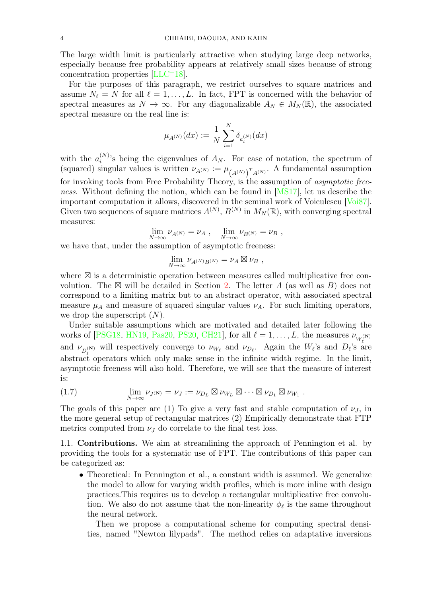The large width limit is particularly attractive when studying large deep networks, especially because free probability appears at relatively small sizes because of strong concentration properties [\[LLC](#page-20-6)<sup>+</sup>18].

For the purposes of this paragraph, we restrict ourselves to square matrices and assume  $N_\ell = N$  for all  $\ell = 1, \ldots, L$ . In fact, FPT is concerned with the behavior of spectral measures as  $N \to \infty$ . For any diagonalizable  $A_N \in M_N(\mathbb{R})$ , the associated spectral measure on the real line is:

$$
\mu_{A^{(N)}}(dx) := \frac{1}{N} \sum_{i=1}^N \delta_{a_i^{(N)}}(dx)
$$

with the  $a_i^{(N)}$  $i^{(N)}$ 's being the eigenvalues of  $A_N$ . For ease of notation, the spectrum of (squared) singular values is written  $\nu_{A^{(N)}} := \mu_{(A^{(N)})^T A^{(N)}}$ . A fundamental assumption for invoking tools from Free Probability Theory, is the assumption of asymptotic free-ness. Without defining the notion, which can be found in [\[MS17\]](#page-20-7), let us describe the important computation it allows, discovered in the seminal work of Voiculescu [\[Voi87\]](#page-21-1). Given two sequences of square matrices  $A^{(N)}$ ,  $B^{(N)}$  in  $M_N(\mathbb{R})$ , with converging spectral measures:

$$
\lim_{N \to \infty} \nu_{A^{(N)}} = \nu_A , \quad \lim_{N \to \infty} \nu_{B^{(N)}} = \nu_B ,
$$

we have that, under the assumption of asymptotic freeness:

$$
\lim_{N\to\infty}\nu_{A^{(N)}B^{(N)}}=\nu_A\boxtimes\nu_B\ ,
$$

where  $\boxtimes$  is a deterministic operation between measures called multiplicative free convolution. The  $\boxtimes$  will be detailed in Section [2.](#page-5-1) The letter A (as well as B) does not correspond to a limiting matrix but to an abstract operator, with associated spectral measure  $\mu_A$  and measure of squared singular values  $\nu_A$ . For such limiting operators, we drop the superscript  $(N)$ .

Under suitable assumptions which are motivated and detailed later following the works of [\[PSG18,](#page-20-5) [HN19,](#page-20-8) [Pas20,](#page-20-9) [PS20,](#page-20-4) [CH21\]](#page-20-10), for all  $\ell = 1, \ldots, L$ , the measures  $\nu_{W_{\ell}^{(\mathbf{N})}}$ and  $\nu_{D_\ell^{(\mathbf{N})}}$  will respectively converge to  $\nu_{W_\ell}$  and  $\nu_{D_\ell}$ . Again the  $W_\ell$ 's and  $D_\ell$ 's are abstract operators which only make sense in the infinite width regime. In the limit, asymptotic freeness will also hold. Therefore, we will see that the measure of interest is:

<span id="page-3-1"></span>(1.7) 
$$
\lim_{N \to \infty} \nu_{J(N)} = \nu_J := \nu_{D_L} \boxtimes \nu_{W_L} \boxtimes \cdots \boxtimes \nu_{D_1} \boxtimes \nu_{W_1}.
$$

The goals of this paper are (1) To give a very fast and stable computation of  $\nu_J$ , in the more general setup of rectangular matrices (2) Empirically demonstrate that FTP metrics computed from  $\nu_J$  do correlate to the final test loss.

<span id="page-3-0"></span>1.1. Contributions. We aim at streamlining the approach of Pennington et al. by providing the tools for a systematic use of FPT. The contributions of this paper can be categorized as:

• Theoretical: In Pennington et al., a constant width is assumed. We generalize the model to allow for varying width profiles, which is more inline with design practices.This requires us to develop a rectangular multiplicative free convolution. We also do not assume that the non-linearity  $\phi_{\ell}$  is the same throughout the neural network.

Then we propose a computational scheme for computing spectral densities, named "Newton lilypads". The method relies on adaptative inversions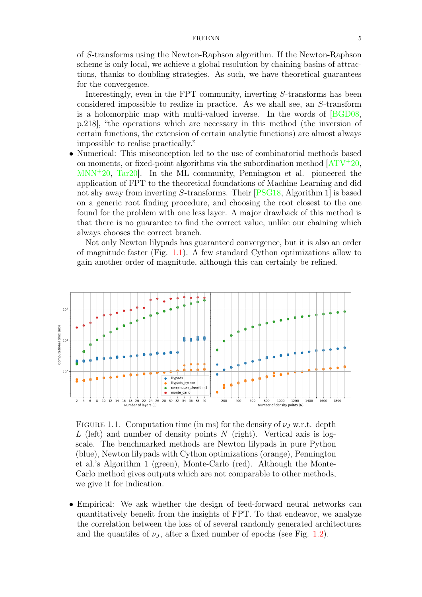of S-transforms using the Newton-Raphson algorithm. If the Newton-Raphson scheme is only local, we achieve a global resolution by chaining basins of attractions, thanks to doubling strategies. As such, we have theoretical guarantees for the convergence.

Interestingly, even in the FPT community, inverting S-transforms has been considered impossible to realize in practice. As we shall see, an S-transform is a holomorphic map with multi-valued inverse. In the words of [\[BGD08,](#page-20-11) p.218], "the operations which are necessary in this method (the inversion of certain functions, the extension of certain analytic functions) are almost always impossible to realise practically."

• Numerical: This misconception led to the use of combinatorial methods based on moments, or fixed-point algorithms via the subordination method  $[ATV^+20,$  $[ATV^+20,$ [MNN](#page-20-13)<sup>+</sup>20, [Tar20\]](#page-21-2). In the ML community, Pennington et al. pioneered the application of FPT to the theoretical foundations of Machine Learning and did not shy away from inverting S-transforms. Their [\[PSG18,](#page-20-5) Algorithm 1] is based on a generic root finding procedure, and choosing the root closest to the one found for the problem with one less layer. A major drawback of this method is that there is no guarantee to find the correct value, unlike our chaining which always chooses the correct branch.

Not only Newton lilypads has guaranteed convergence, but it is also an order of magnitude faster (Fig. [1.1\)](#page-4-0). A few standard Cython optimizations allow to gain another order of magnitude, although this can certainly be refined.

<span id="page-4-0"></span>

FIGURE 1.1. Computation time (in ms) for the density of  $\nu_J$  w.r.t. depth L (left) and number of density points N (right). Vertical axis is logscale. The benchmarked methods are Newton lilypads in pure Python (blue), Newton lilypads with Cython optimizations (orange), Pennington et al.'s Algorithm 1 (green), Monte-Carlo (red). Although the Monte-Carlo method gives outputs which are not comparable to other methods, we give it for indication.

• Empirical: We ask whether the design of feed-forward neural networks can quantitatively benefit from the insights of FPT. To that endeavor, we analyze the correlation between the loss of of several randomly generated architectures and the quantiles of  $\nu_J$ , after a fixed number of epochs (see Fig. [1.2\)](#page-5-3).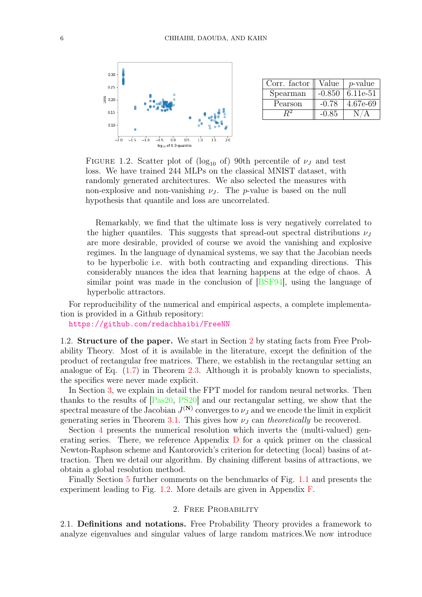<span id="page-5-3"></span>

| Corr. factor | Value    | $p$ -value |
|--------------|----------|------------|
| Spearman     | $-0.850$ | 6.11e-51   |
| Pearson      | $-0.78$  | 4.67e-69   |
|              | $-0.85$  |            |

FIGURE 1.2. Scatter plot of (log<sub>10</sub> of) 90th percentile of  $\nu_J$  and test loss. We have trained 244 MLPs on the classical MNIST dataset, with randomly generated architectures. We also selected the measures with non-explosive and non-vanishing  $\nu_J$ . The p-value is based on the null hypothesis that quantile and loss are uncorrelated.

Remarkably, we find that the ultimate loss is very negatively correlated to the higher quantiles. This suggests that spread-out spectral distributions  $\nu<sub>J</sub>$ are more desirable, provided of course we avoid the vanishing and explosive regimes. In the language of dynamical systems, we say that the Jacobian needs to be hyperbolic i.e. with both contracting and expanding directions. This considerably nuances the idea that learning happens at the edge of chaos. A similar point was made in the conclusion of [\[BSF94\]](#page-20-14), using the language of hyperbolic attractors.

For reproducibility of the numerical and empirical aspects, a complete implementation is provided in a Github repository:

<https://github.com/redachhaibi/FreeNN>

<span id="page-5-0"></span>1.2. Structure of the paper. We start in Section [2](#page-5-1) by stating facts from Free Probability Theory. Most of it is available in the literature, except the definition of the product of rectangular free matrices. There, we establish in the rectangular setting an analogue of Eq.  $(1.7)$  in Theorem [2.3.](#page-6-1) Although it is probably known to specialists, the specifics were never made explicit.

In Section [3,](#page-7-0) we explain in detail the FPT model for random neural networks. Then thanks to the results of [\[Pas20,](#page-20-9) [PS20\]](#page-20-4) and our rectangular setting, we show that the spectral measure of the Jacobian  $J^{(N)}$  converges to  $\nu_J$  and we encode the limit in explicit generating series in Theorem [3.1.](#page-8-2) This gives how  $\nu_J$  can theoretically be recovered.

Section [4](#page-8-1) presents the numerical resolution which inverts the (multi-valued) generating series. There, we reference Appendix [D](#page-16-0) for a quick primer on the classical Newton-Raphson scheme and Kantorovich's criterion for detecting (local) basins of attraction. Then we detail our algorithm. By chaining different basins of attractions, we obtain a global resolution method.

Finally Section [5](#page-11-0) further comments on the benchmarks of Fig. [1.1](#page-4-0) and presents the experiment leading to Fig. [1.2.](#page-5-3) More details are given in Appendix [F.](#page-19-0)

## 2. Free Probability

<span id="page-5-2"></span><span id="page-5-1"></span>2.1. Definitions and notations. Free Probability Theory provides a framework to analyze eigenvalues and singular values of large random matrices.We now introduce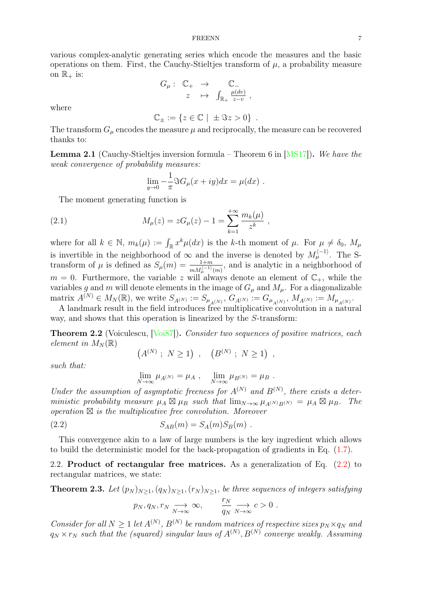various complex-analytic generating series which encode the measures and the basic operations on them. First, the Cauchy-Stieltjes transform of  $\mu$ , a probability measure on  $\mathbb{R}_+$  is:

$$
G_{\mu}: \begin{array}{ccc} \mathbb{C}_+ & \to & \mathbb{C}_- \\ z & \mapsto & \int_{\mathbb{R}_+} \frac{\mu(dv)}{z-v} , \end{array}
$$

where

$$
\mathbb{C}_{\pm} := \{ z \in \mathbb{C} \mid \pm \Im z > 0 \} .
$$

The transform  $G_{\mu}$  encodes the measure  $\mu$  and reciprocally, the measure can be recovered thanks to:

<span id="page-6-3"></span>**Lemma 2.1** (Cauchy-Stieltjes inversion formula – Theorem 6 in  $[MS17]$ ). We have the weak convergence of probability measures:

$$
\lim_{y \to 0} -\frac{1}{\pi} \Im G_{\mu}(x+iy) dx = \mu(dx) .
$$

The moment generating function is

<span id="page-6-4"></span>(2.1) 
$$
M_{\mu}(z) = zG_{\mu}(z) - 1 = \sum_{k=1}^{+\infty} \frac{m_k(\mu)}{z^k},
$$

where for all  $k \in \mathbb{N}$ ,  $m_k(\mu) := \int_{\mathbb{R}} x^k \mu(dx)$  is the k-th moment of  $\mu$ . For  $\mu \neq \delta_0$ ,  $M_\mu$ is invertible in the neighborhood of  $\infty$  and the inverse is denoted by  $M_\mu^{(-1)}$ . The Stransform of  $\mu$  is defined as  $S_{\mu}(m) = \frac{1+m}{m M_{\mu}^{(n-1)}(m)}$ , and is analytic in a neighborhood of  $m = 0$ . Furthermore, the variable z will always denote an element of  $\mathbb{C}_+$ , while the variables g and m will denote elements in the image of  $G_{\mu}$  and  $M_{\mu}$ . For a diagonalizable  $\text{matrix } A^{(N)} \in M_N(\mathbb{R}), \text{ we write } S_{A^{(N)}} := S_{\mu_{A^{(N)}}}, G_{A^{(N)}} := G_{\mu_{A^{(N)}}}, M_{A^{(N)}} := M_{\mu_{A^{(N)}}}.$ 

A landmark result in the field introduces free multiplicative convolution in a natural way, and shows that this operation is linearized by the S-transform:

<span id="page-6-5"></span>**Theorem 2.2** (Voiculescu, [\[Voi87\]](#page-21-1)). Consider two sequences of positive matrices, each element in  $M_N(\mathbb{R})$ 

$$
(A^{(N)}; N \ge 1), (B^{(N)}; N \ge 1),
$$

such that:

$$
\lim_{N \to \infty} \mu_{A^{(N)}} = \mu_A , \quad \lim_{N \to \infty} \mu_{B^{(N)}} = \mu_B .
$$

Under the assumption of asymptotic freeness for  $A^{(N)}$  and  $B^{(N)}$ , there exists a deterministic probability measure  $\mu_A \boxtimes \mu_B$  such that  $\lim_{N\to\infty} \mu_{A^{(N)}B^{(N)}} = \mu_A \boxtimes \mu_B$ . The  $operation \boxtimes$  is the multiplicative free convolution. Moreover

<span id="page-6-2"></span>(2.2) 
$$
S_{AB}(m) = S_A(m)S_B(m) .
$$

This convergence akin to a law of large numbers is the key ingredient which allows to build the deterministic model for the back-propagation of gradients in Eq.  $(1.7)$ .

<span id="page-6-0"></span>2.2. Product of rectangular free matrices. As a generalization of Eq. [\(2.2\)](#page-6-2) to rectangular matrices, we state:

<span id="page-6-1"></span>**Theorem 2.3.** Let  $(p_N)_{N\geq 1}$ ,  $(q_N)_{N\geq 1}$ ,  $(r_N)_{N\geq 1}$ , be three sequences of integers satisfying

$$
p_N, q_N, r_N \xrightarrow[N \to \infty]{} \infty,
$$
  $\frac{r_N}{q_N} \xrightarrow[N \to \infty]{} c > 0.$ 

Consider for all  $N \geq 1$  let  $A^{(N)}$ ,  $B^{(N)}$  be random matrices of respective sizes  $p_N \times q_N$  and  $q_N \times r_N$  such that the (squared) singular laws of  $A^{(N)}, B^{(N)}$  converge weakly. Assuming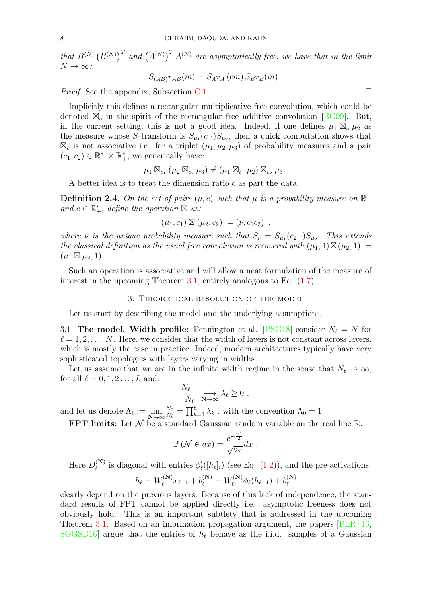that  $B^{(N)}(B^{(N)})^T$  and  $(A^{(N)})^T A^{(N)}$  are asymptotically free, we have that in the limit  $N \to \infty$ :

$$
S_{(AB)^{T}AB}(m) = S_{A^{T}A}(cm) S_{B^{T}B}(m) .
$$

*Proof.* See the appendix, Subsection [C.1](#page-14-1)

Implicitly this defines a rectangular multiplicative free convolution, which could be denoted  $\mathbb{Z}_c$  in the spirit of the rectangular free additive convolution [\[BG09\]](#page-20-15). But, in the current setting, this is not a good idea. Indeed, if one defines  $\mu_1 \boxtimes_c \mu_2$  as the measure whose S-transform is  $S_{\mu_1}(c \cdot) S_{\mu_2}$ , then a quick computation shows that  $\boxtimes_c$  is not associative i.e. for a triplet  $(\mu_1, \mu_2, \mu_3)$  of probability measures and a pair  $(c_1, c_2) \in \mathbb{R}_+^* \times \mathbb{R}_+^*$ , we generically have:

$$
\mu_1 \boxtimes_{c_1} (\mu_2 \boxtimes_{c_2} \mu_3) \neq (\mu_1 \boxtimes_{c_1} \mu_2) \boxtimes_{c_2} \mu_3
$$
.

A better idea is to treat the dimension ratio  $c$  as part the data:

**Definition 2.4.** On the set of pairs  $(\mu, c)$  such that  $\mu$  is a probability measure on  $\mathbb{R}_+$ and  $c \in \mathbb{R}_+^*$ , define the operation  $\boxtimes$  as:

$$
(\mu_1, c_1) \boxtimes (\mu_2, c_2) := (\nu, c_1 c_2) ,
$$

where  $\nu$  is the unique probability measure such that  $S_{\nu} = S_{\mu_1}(c_2 \cdot)S_{\mu_2}$ . This extends the classical definition as the usual free convolution is recovered with  $(\mu_1, 1) \boxtimes (\mu_2, 1) :=$  $(\mu_1 \boxtimes \mu_2, 1).$ 

Such an operation is associative and will allow a neat formulation of the measure of interest in the upcoming Theorem [3.1,](#page-8-2) entirely analogous to Eq. [\(1.7\)](#page-3-1).

## 3. Theoretical resolution of the model

<span id="page-7-0"></span>Let us start by describing the model and the underlying assumptions.

<span id="page-7-1"></span>3.1. The model. Width profile: Pennington et al. [\[PSG18\]](#page-20-5) consider  $N_\ell = N$  for  $\ell = 1, 2, \ldots, N$ . Here, we consider that the width of layers is not constant across layers, which is mostly the case in practice. Indeed, modern architectures typically have very sophisticated topologies with layers varying in widths.

Let us assume that we are in the infinite width regime in the sense that  $N_{\ell} \to \infty$ , for all  $\ell = 0, 1, 2 \ldots, L$  and:

$$
\frac{N_{\ell-1}}{N_{\ell}}\underset{\mathbf{N}\to\infty}{\longrightarrow}\lambda_{\ell}\geq 0,
$$

and let us denote  $\Lambda_{\ell} := \lim_{\mathbf{N} \to \infty}$  $\mathcal{N}_0$  $\frac{N_0}{N_{\ell}} = \prod_{k=1}^{\ell} \lambda_k$ , with the convention  $\Lambda_0 = 1$ .

FPT limits: Let N be a standard Gaussian random variable on the real line R:

$$
\mathbb{P}\left(\mathcal{N}\in dx\right) = \frac{e^{-\frac{x^2}{2}}}{\sqrt{2\pi}}dx.
$$

Here  $D_{\ell}^{(\mathbf{N})}$  $\ell_{\ell}^{(N)}$  is diagonal with entries  $\phi'_{\ell}([h_{\ell}]_i)$  (see Eq. [\(1.2\)](#page-1-3)), and the pre-activations

$$
h_{\ell} = W_{\ell}^{(\mathbf{N})} x_{\ell-1} + b_{\ell}^{(\mathbf{N})} = W_{\ell}^{(\mathbf{N})} \phi_{\ell}(h_{\ell-1}) + b_{\ell}^{(\mathbf{N})}
$$

clearly depend on the previous layers. Because of this lack of independence, the standard results of FPT cannot be applied directly i.e. asymptotic freeness does not obviously hold. This is an important subtlety that is addressed in the upcoming Theorem [3.1.](#page-8-2) Based on an information propagation argument, the papers  $[PLR+16]$  $[PLR+16]$ , [SGGSD16\]](#page-21-3) argue that the entries of  $h_\ell$  behave as the i.i.d. samples of a Gaussian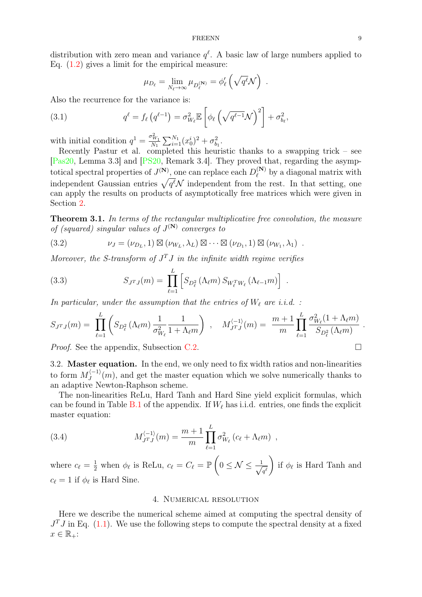distribution with zero mean and variance  $q^{\ell}$ . A basic law of large numbers applied to Eq.  $(1.2)$  gives a limit for the empirical measure:

$$
\mu_{D_{\ell}} = \lim_{N_{\ell} \to \infty} \mu_{D_{\ell}^{(\mathbf{N})}} = \phi_{\ell}' \left( \sqrt{q^{\ell}} \mathcal{N} \right) .
$$

Also the recurrence for the variance is:

(3.1) 
$$
q^{\ell} = f_{\ell} (q^{\ell-1}) = \sigma_{W_{\ell}}^2 \mathbb{E} \left[ \phi_{\ell} \left( \sqrt{q^{\ell-1}} \mathcal{N} \right)^2 \right] + \sigma_{b_{\ell}}^2,
$$

with initial condition  $q^1 = \frac{\sigma_{W_1}^2}{N_1}$  $\frac{\sigma_{W_1}}{N_1} \sum_{i=1}^{N_1} (x_0^i)^2 + \sigma_{b_1}^2$ 

Recently Pastur et al. completed this heuristic thanks to a swapping trick – see [\[Pas20,](#page-20-9) Lemma 3.3] and [\[PS20,](#page-20-4) Remark 3.4]. They proved that, regarding the asymptotical spectral properties of  $J^{(N)}$ , one can replace each  $D_{\ell}^{(N)}$  $\int_{\ell}^{(N)}$  by a diagonal matrix with independent Gaussian entries  $\sqrt{q^{\ell}}\mathcal{N}$  independent from the rest. In that setting, one can apply the results on products of asymptotically free matrices which were given in Section [2.](#page-5-1)

<span id="page-8-2"></span>Theorem 3.1. In terms of the rectangular multiplicative free convolution, the measure of (squared) singular values of  $J^{(N)}$  converges to

(3.2) 
$$
\nu_J = (\nu_{D_L}, 1) \boxtimes (\nu_{W_L}, \lambda_L) \boxtimes \cdots \boxtimes (\nu_{D_1}, 1) \boxtimes (\nu_{W_1}, \lambda_1) .
$$

Moreover, the S-transform of  $J<sup>T</sup>J$  in the infinite width regime verifies

(3.3) 
$$
S_{J^{T}J}(m) = \prod_{\ell=1}^{L} \left[ S_{D_{\ell}^{2}}(\Lambda_{\ell}m) S_{W_{\ell}^{T}W_{\ell}}(\Lambda_{\ell-1}m) \right].
$$

In particular, under the assumption that the entries of  $W_\ell$  are i.i.d. :

$$
S_{J^{T}J}(m) = \prod_{\ell=1}^{L} \left( S_{D_{\ell}^{2}} \left( \Lambda_{\ell} m \right) \frac{1}{\sigma_{W_{\ell}}^{2}} \frac{1}{1 + \Lambda_{\ell} m} \right) , \quad M_{J^{T}J}^{(-1)}(m) = \frac{m+1}{m} \prod_{\ell=1}^{L} \frac{\sigma_{W_{\ell}}^{2}(1 + \Lambda_{\ell} m)}{S_{D_{\ell}^{2}} \left( \Lambda_{\ell} m \right)} .
$$

*Proof.* See the appendix, Subsection [C.2.](#page-15-0)

<span id="page-8-0"></span>3.2. Master equation. In the end, we only need to fix width ratios and non-linearities to form  $M_I^{\langle -1 \rangle}$  $J_J^{(-1)}(m)$ , and get the master equation which we solve numerically thanks to an adaptive Newton-Raphson scheme.

The non-linearities ReLu, Hard Tanh and Hard Sine yield explicit formulas, which can be found in Table [B.1](#page-13-1) of the appendix. If  $W_\ell$  has i.i.d. entries, one finds the explicit master equation:

(3.4) 
$$
M_{JTJ}^{(-1)}(m) = \frac{m+1}{m} \prod_{\ell=1}^{L} \sigma_{W_{\ell}}^2 (c_{\ell} + \Lambda_{\ell} m) ,
$$

where  $c_{\ell} = \frac{1}{2}$  when  $\phi_{\ell}$  is ReLu,  $c_{\ell} = C_{\ell} = \mathbb{P}\left(0 \leq \mathcal{N} \leq \frac{1}{\sqrt{\ell}}\right)$  $q^{\ell}$  $\setminus$ if  $\phi_{\ell}$  is Hard Tanh and  $c_{\ell} = 1$  if  $\phi_{\ell}$  is Hard Sine.

## 4. Numerical resolution

<span id="page-8-1"></span>Here we describe the numerical scheme aimed at computing the spectral density of  $J<sup>T</sup>$  in Eq. [\(1.1\)](#page-1-1). We use the following steps to compute the spectral density at a fixed  $x \in \mathbb{R}_+$ :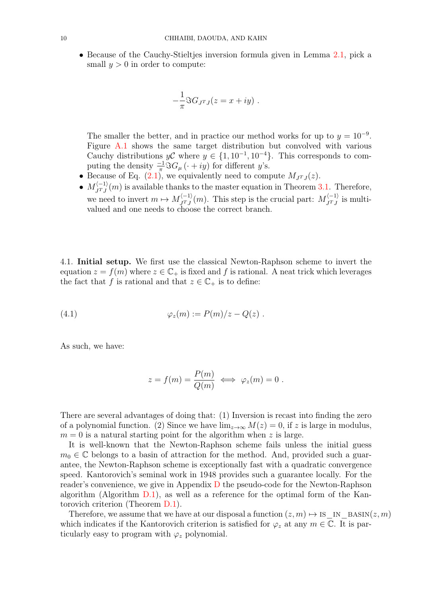• Because of the Cauchy-Stieltjes inversion formula given in Lemma [2.1,](#page-6-3) pick a small  $y > 0$  in order to compute:

$$
-\frac{1}{\pi}\Im G_{J^TJ}(z=x+iy) .
$$

The smaller the better, and in practice our method works for up to  $y = 10^{-9}$ . Figure [A.1](#page-12-1) shows the same target distribution but convolved with various Cauchy distributions  $y\mathcal{C}$  where  $y \in \{1, 10^{-1}, 10^{-4}\}$ . This corresponds to computing the density  $\frac{-1}{\pi} \Im G_{\mu} (\cdot + iy)$  for different y's.

- Because of Eq.  $(2.1)$ , we equivalently need to compute  $M_{J^TJ}(z)$ .
- $\bullet$   $M_{IT}^{\langle -1 \rangle}$  $J_{J}^{(-1)}(m)$  is available thanks to the master equation in Theorem [3.1.](#page-8-2) Therefore, we need to invert  $m \mapsto M_{TT}^{\langle -1 \rangle}$  $J_{J^TJ}^{(-1)}(m)$ . This step is the crucial part:  $M_{J^TJ}^{(-1)}$  $\int_{J^T J}^{(-1)}$  is multivalued and one needs to choose the correct branch.

<span id="page-9-0"></span>4.1. Initial setup. We first use the classical Newton-Raphson scheme to invert the equation  $z = f(m)$  where  $z \in \mathbb{C}_+$  is fixed and f is rational. A neat trick which leverages the fact that f is rational and that  $z \in \mathbb{C}_+$  is to define:

<span id="page-9-1"></span>
$$
(4.1) \qquad \qquad \varphi_z(m) := P(m)/z - Q(z) .
$$

As such, we have:

$$
z = f(m) = \frac{P(m)}{Q(m)}
$$
  $\iff \varphi_z(m) = 0.$ 

There are several advantages of doing that: (1) Inversion is recast into finding the zero of a polynomial function. (2) Since we have  $\lim_{z\to\infty} M(z) = 0$ , if z is large in modulus,  $m = 0$  is a natural starting point for the algorithm when z is large.

It is well-known that the Newton-Raphson scheme fails unless the initial guess  $m_0 \in \mathbb{C}$  belongs to a basin of attraction for the method. And, provided such a guarantee, the Newton-Raphson scheme is exceptionally fast with a quadratic convergence speed. Kantorovich's seminal work in 1948 provides such a guarantee locally. For the reader's convenience, we give in Appendix [D](#page-16-0) the pseudo-code for the Newton-Raphson algorithm (Algorithm  $D.1$ ), as well as a reference for the optimal form of the Kantorovich criterion (Theorem [D.1\)](#page-17-1).

Therefore, we assume that we have at our disposal a function  $(z, m) \mapsto \text{is\_IN\_BASIN}(z, m)$ which indicates if the Kantorovich criterion is satisfied for  $\varphi_z$  at any  $m \in \mathbb{C}$ . It is particularly easy to program with  $\varphi_z$  polynomial.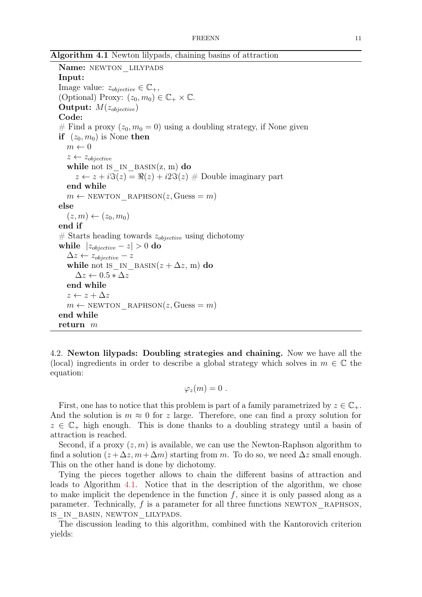Algorithm 4.1 Newton lilypads, chaining basins of attraction

```
Name: NEWTON_LILYPADS
Input:
Image value: z_{objective} \in \mathbb{C}_+,(Optional) Proxy: (z_0, m_0) \in \mathbb{C}_+ \times \mathbb{C}.
Output: M(z_{objective})Code:
# Find a proxy (z_0, m_0 = 0) using a doubling strategy, if None given
if (z_0, m_0) is None then
  m \leftarrow 0z \leftarrow z_{objective}while not is IN BASIN(z, m) do
     z \leftarrow z + i \Im(z) = \Re(z) + i 2 \Im(z) \neq Double imaginary part
  end while
  m \leftarrow NEWTON RAPHSON(z, Guess = m)
else
   (z, m) \leftarrow (z_0, m_0)end if
# Starts heading towards z_{objective} using dichotomy
while |z_{objective} - z| > 0 do
   \Delta z \leftarrow z_{objective} - zwhile not is in BASIN(z + \Delta z, m) do
     \Delta z \leftarrow 0.5 * \Delta zend while
  z \leftarrow z + \Delta zm \leftarrow NEWTON RAPHSON(z, \text{Gauss} = m)end while
return m
```
<span id="page-10-0"></span>4.2. Newton lilypads: Doubling strategies and chaining. Now we have all the (local) ingredients in order to describe a global strategy which solves in  $m \in \mathbb{C}$  the equation:

$$
\varphi_z(m)=0.
$$

First, one has to notice that this problem is part of a family parametrized by  $z \in \mathbb{C}_+$ . And the solution is  $m \approx 0$  for z large. Therefore, one can find a proxy solution for  $z \in \mathbb{C}_+$  high enough. This is done thanks to a doubling strategy until a basin of attraction is reached.

Second, if a proxy  $(z, m)$  is available, we can use the Newton-Raphson algorithm to find a solution  $(z + \Delta z, m + \Delta m)$  starting from m. To do so, we need  $\Delta z$  small enough. This on the other hand is done by dichotomy.

Tying the pieces together allows to chain the different basins of attraction and leads to Algorithm [4.1.](#page-10-0) Notice that in the description of the algorithm, we chose to make implicit the dependence in the function  $f$ , since it is only passed along as a parameter. Technically,  $f$  is a parameter for all three functions NEWTON, RAPHSON, is\_in\_basin, newton\_lilypads.

The discussion leading to this algorithm, combined with the Kantorovich criterion yields: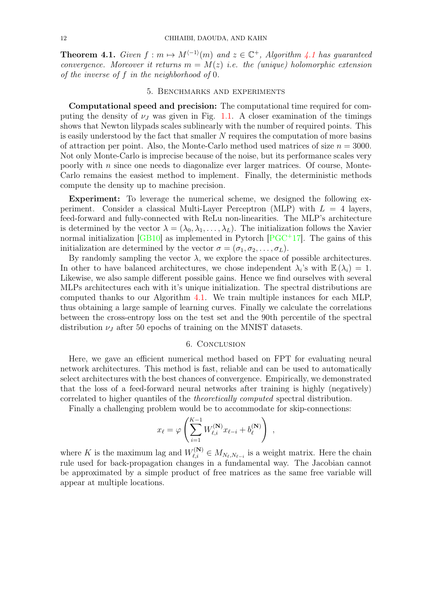**Theorem [4.1](#page-10-0).** Given  $f : m \mapsto M^{(-1)}(m)$  and  $z \in \mathbb{C}^+$ , Algorithm 4.1 has guaranteed convergence. Moreover it returns  $m = M(z)$  i.e. the (unique) holomorphic extension of the inverse of f in the neighborhood of 0.

### 5. Benchmarks and experiments

<span id="page-11-0"></span>Computational speed and precision: The computational time required for computing the density of  $\nu_J$  was given in Fig. [1.1.](#page-4-0) A closer examination of the timings shows that Newton lilypads scales sublinearly with the number of required points. This is easily understood by the fact that smaller N requires the computation of more basins of attraction per point. Also, the Monte-Carlo method used matrices of size  $n = 3000$ . Not only Monte-Carlo is imprecise because of the noise, but its performance scales very poorly with  $n$  since one needs to diagonalize ever larger matrices. Of course, Monte-Carlo remains the easiest method to implement. Finally, the deterministic methods compute the density up to machine precision.

Experiment: To leverage the numerical scheme, we designed the following experiment. Consider a classical Multi-Layer Perceptron (MLP) with  $L = 4$  layers, feed-forward and fully-connected with ReLu non-linearities. The MLP's architecture is determined by the vector  $\lambda = (\lambda_0, \lambda_1, \dots, \lambda_L)$ . The initialization follows the Xavier normal initialization  $[GB10]$  as implemented in Pytorch  $[PGC^+17]$  $[PGC^+17]$ . The gains of this initialization are determined by the vector  $\sigma = (\sigma_1, \sigma_2, \dots, \sigma_L)$ .

By randomly sampling the vector  $\lambda$ , we explore the space of possible architectures. In other to have balanced architectures, we chose independent  $\lambda_i$ 's with  $\mathbb{E}(\lambda_i) = 1$ . Likewise, we also sample different possible gains. Hence we find ourselves with several MLPs architectures each with it's unique initialization. The spectral distributions are computed thanks to our Algorithm [4.1.](#page-10-0) We train multiple instances for each MLP, thus obtaining a large sample of learning curves. Finally we calculate the correlations between the cross-entropy loss on the test set and the 90th percentile of the spectral distribution  $\nu_J$  after 50 epochs of training on the MNIST datasets.

### 6. Conclusion

<span id="page-11-1"></span>Here, we gave an efficient numerical method based on FPT for evaluating neural network architectures. This method is fast, reliable and can be used to automatically select architectures with the best chances of convergence. Empirically, we demonstrated that the loss of a feed-forward neural networks after training is highly (negatively) correlated to higher quantiles of the theoretically computed spectral distribution.

Finally a challenging problem would be to accommodate for skip-connections:

$$
x_{\ell} = \varphi \left( \sum_{i=1}^{K-1} W_{\ell,i}^{(\mathbf{N})} x_{\ell-i} + b_{\ell}^{(\mathbf{N})} \right) ,
$$

where K is the maximum lag and  $W_{\ell,i}^{(N)} \in M_{N_{\ell},N_{\ell-i}}$  is a weight matrix. Here the chain rule used for back-propagation changes in a fundamental way. The Jacobian cannot be approximated by a simple product of free matrices as the same free variable will appear at multiple locations.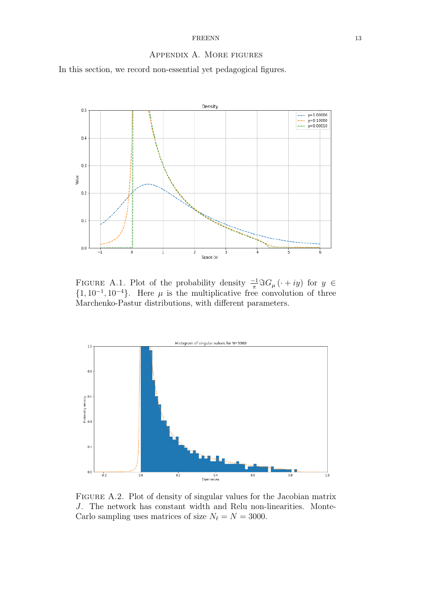# Appendix A. More figures

<span id="page-12-0"></span>In this section, we record non-essential yet pedagogical figures.

<span id="page-12-1"></span>

FIGURE A.1. Plot of the probability density  $\frac{-1}{\pi}\Im G_\mu(\cdot+iy)$  for  $y \in$  $\{1, 10^{-1}, 10^{-4}\}.$  Here  $\mu$  is the multiplicative free convolution of three Marchenko-Pastur distributions, with different parameters.



FIGURE A.2. Plot of density of singular values for the Jacobian matrix J. The network has constant width and Relu non-linearities. Monte-Carlo sampling uses matrices of size  $N_{\ell} = N = 3000$ .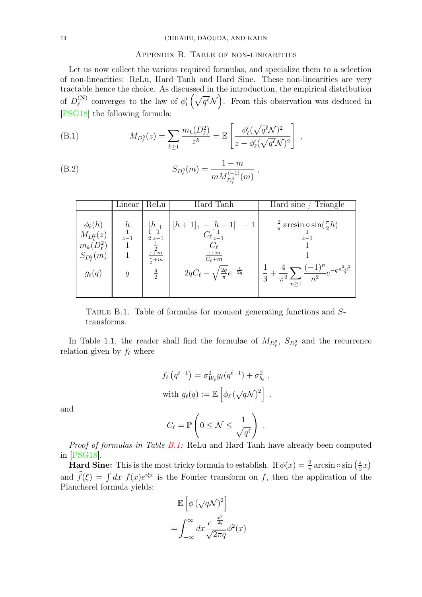## Appendix B. Table of non-linearities

<span id="page-13-0"></span>Let us now collect the various required formulas, and specialize them to a selection of non-linearities: ReLu, Hard Tanh and Hard Sine. These non-linearities are very tractable hence the choice. As discussed in the introduction, the empirical distribution of  $D_{\ell}^{(\mathbf{N})}$ <sup>(N)</sup> converges to the law of  $\phi'_{l}(\sqrt{q^{\ell}}\mathcal{N})$ . From this observation was deduced in [\[PSG18\]](#page-20-5) the following formula:

(B.1) 
$$
M_{D_{\ell}^2}(z) = \sum_{k \ge 1} \frac{m_k(D_{\ell}^2)}{z^k} = \mathbb{E}\left[\frac{\phi_{\ell}'(\sqrt{q^{\ell}}\mathcal{N})^2}{z - \phi_{\ell}'(\sqrt{q^{\ell}}\mathcal{N})^2}\right],
$$

(B.2) 
$$
S_{D_{\ell}^2}(m) = \frac{1+m}{m M_{D_{\ell}^2}^{(-1)}(m)},
$$

<span id="page-13-1"></span>

|                                                       | Linear | ReLu                                              | Hard Tanh                                                                                                                                                                                                                                                                                       | Hard sine<br>Triangle                                                                                                                                                                |
|-------------------------------------------------------|--------|---------------------------------------------------|-------------------------------------------------------------------------------------------------------------------------------------------------------------------------------------------------------------------------------------------------------------------------------------------------|--------------------------------------------------------------------------------------------------------------------------------------------------------------------------------------|
| $m_k(D_\ell^2)$<br>$S_{D_\ell^2}(m)$<br>$g_{\ell}(q)$ | q      | $\frac{1}{2}$<br>$\frac{1+m}{2+m}$<br>$rac{q}{2}$ | $\mathcal{A}_{L}(\phi_{\ell}(k)) = \begin{array}{c c} h & h \ \frac{1}{z-1} & \frac{1}{z-1} \end{array}$ $\begin{array}{c c} [h]+1 \end{array}$ $\begin{array}{c c} [h+1]_{+} - [h-1]_{+} - 1 \end{array}$<br>$\frac{1+m}{C_{\ell}+m}$<br>$2qC_{\ell} - \sqrt{\frac{2q}{\pi}}e^{-\frac{1}{2q}}$ | $rac{2}{\pi}$ arcsin $\circ$ sin $(\frac{\pi}{2}h)$<br>$\frac{1}{z-1}$<br>$\left(\frac{1}{3} + \frac{4}{\pi^2} \sum_{n \geq 1} \frac{(-1)^n}{n^2} e^{-q \frac{\pi^2 n^2}{2}}\right)$ |

Table B.1. Table of formulas for moment generating functions and Stransforms.

In Table 1.1, the reader shall find the formulae of  $M_{D_{\ell}^2}$ ,  $S_{D_{\ell}^2}$  and the recurrence relation given by  $f_{\ell}$  where

$$
f_{\ell}(q^{\ell-1}) = \sigma_{W_{\ell}}^2 g_{\ell}(q^{\ell-1}) + \sigma_{b_{\ell}}^2,
$$
  
with  $g_{\ell}(q) := \mathbb{E}\left[\phi_{\ell}(\sqrt{q}\mathcal{N})^2\right].$ 

and

$$
C_{\ell} = \mathbb{P}\left(0 \leq \mathcal{N} \leq \frac{1}{\sqrt{q^{\ell}}}\right) .
$$

Proof of formulas in Table [B.1:](#page-13-1) ReLu and Hard Tanh have already been computed in [\[PSG18\]](#page-20-5).

**Hard Sine:** This is the most tricky formula to establish. If  $\phi(x) = \frac{2}{\pi} \arcsin \circ \sin \left(\frac{\pi}{2}\right)$  $\frac{\pi}{2}x$ and  $\hat{f}(\xi) = \int dx f(x)e^{i\xi x}$  is the Fourier transform on f, then the application of the Plancherel formula yields:

$$
\mathbb{E}\left[\phi\left(\sqrt{q}\mathcal{N}\right)^2\right]
$$

$$
=\int_{-\infty}^{\infty}dx\frac{e^{-\frac{x^2}{2q}}}{\sqrt{2\pi q}}\phi^2(x)
$$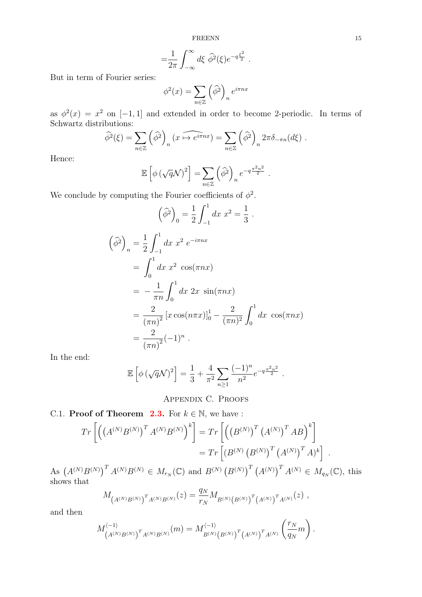$$
= \frac{1}{2\pi} \int_{-\infty}^{\infty} d\xi \widehat{\phi}^2(\xi) e^{-q\frac{\xi^2}{2}}.
$$

But in term of Fourier series:

$$
\phi^2(x) = \sum_{n \in \mathbb{Z}} \left(\widehat{\phi}^2\right)_n e^{i\pi nx}
$$

as  $\phi^2(x) = x^2$  on [-1, 1] and extended in order to become 2-periodic. In terms of Schwartz distributions:

$$
\widehat{\phi}^2(\xi) = \sum_{n \in \mathbb{Z}} \left( \widehat{\phi}^2 \right)_n (x \overbrace{\leftrightarrow e^{i\pi nx}}) = \sum_{n \in \mathbb{Z}} \left( \widehat{\phi}^2 \right)_n 2\pi \delta_{-\pi n}(d\xi).
$$

Hence:

$$
\mathbb{E}\left[\phi\left(\sqrt{q}\mathcal{N}\right)^2\right] = \sum_{n\in\mathbb{Z}} \left(\widehat{\phi}^2\right)_n e^{-q\frac{\pi^2 n^2}{2}}.
$$

We conclude by computing the Fourier coefficients of  $\phi^2$ .

$$
\left(\widehat{\phi}^{2}\right)_{0} = \frac{1}{2} \int_{-1}^{1} dx \ x^{2} = \frac{1}{3}.
$$

$$
\int_{-1}^{1} dx \ x^{2} e^{-i\pi nx}
$$

$$
\begin{aligned}\n\left(\widehat{\phi}^2\right)_n &= \frac{1}{2} \int_{-1}^1 dx \ x^2 \ e^{-i\pi nx} \\
&= \int_0^1 dx \ x^2 \ \cos(\pi nx) \\
&= -\frac{1}{\pi n} \int_0^1 dx \ 2x \ \sin(\pi nx) \\
&= \frac{2}{(\pi n)^2} \left[ x \cos(n\pi x) \right]_0^1 - \frac{2}{(\pi n)^2} \int_0^1 dx \ \cos(\pi nx) \\
&= \frac{2}{(\pi n)^2} (-1)^n \ .\n\end{aligned}
$$

In the end:

$$
\mathbb{E}\left[\phi\left(\sqrt{q}\mathcal{N}\right)^2\right] = \frac{1}{3} + \frac{4}{\pi^2} \sum_{n\geq 1} \frac{(-1)^n}{n^2} e^{-q\frac{\pi^2 n^2}{2}}.
$$

Appendix C. Proofs

# <span id="page-14-1"></span><span id="page-14-0"></span>C.1. **Proof of Theorem [2.3.](#page-6-1)** For  $k \in \mathbb{N}$ , we have :

$$
Tr\left[ \left( \left( A^{(N)} B^{(N)} \right)^T A^{(N)} B^{(N)} \right)^k \right] = Tr\left[ \left( \left( B^{(N)} \right)^T \left( A^{(N)} \right)^T A B \right)^k \right] = Tr\left[ \left( B^{(N)} \left( B^{(N)} \right)^T \left( A^{(N)} \right)^T A \right)^k \right] .
$$

As  $(A^{(N)}B^{(N)})^T A^{(N)}B^{(N)} \in M_{r_N}(\mathbb{C})$  and  $B^{(N)}(B^{(N)})^T (A^{(N)})^T A^{(N)} \in M_{q_N}(\mathbb{C})$ , this shows that

$$
M_{(A^{(N)}B^{(N)})}r_{A^{(N)}B^{(N)}}(z) = \frac{q_N}{r_N}M_{B^{(N)}(B^{(N)})}r_{(A^{(N)})}r_{A^{(N)}}(z) ,
$$

and then

$$
M_{(A^{(N)}B^{(N)})}^{(-1)}T_{A^{(N)}B^{(N)}}(m) = M_{B^{(N)}(B^{(N)})}^{(-1)}T_{(A^{(N)})}T_{A^{(N)}}\left(\frac{r_N}{q_N}m\right).
$$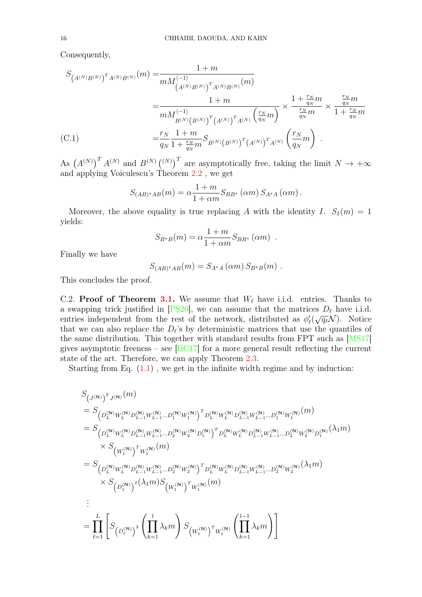Consequently,

$$
S_{(A^{(N)}B^{(N)})}r_{A^{(N)}B^{(N)}}(m) = \frac{1+m}{mM_{(A^{(N)}B^{(N)})}^{(-1)}} = \frac{1+m}{mM_{(A^{(N)}B^{(N)})}^{(-1)}r_{A^{(N)}B^{(N)}}(m)} = \frac{1+m}{mM_{(B^{(N)}B^{(N)})}^{(-1)}r_{A^{(N)}}}\left(\frac{r_N}{q_N}m\right)} \times \frac{1+\frac{r_N}{q_N}m}{\frac{r_N}{q_N}m} \times \frac{\frac{r_N}{q_N}m}{1+\frac{r_N}{q_N}m} = \frac{r_N}{q_N}\frac{1+m}{1+\frac{r_N}{q_N}m}S_{B^{(N)}\left(B^{(N)}\right)^T\left(A^{(N)}\right)^T A^{(N)}}\left(\frac{r_N}{q_N}m\right).
$$

As  $(A^{(N)})^T A^{(N)}$  and  $B^{(N)}$   $(^{(N)})^T$  are asymptotically free, taking the limit  $N \to +\infty$ and applying Voiculescu's Theorem [2.2](#page-6-5) , we get

$$
S_{(AB)^*AB}(m) = \alpha \frac{1+m}{1+\alpha m} S_{BB^*}(\alpha m) S_{A^*A}(\alpha m).
$$

Moreover, the above equality is true replacing A with the identity I.  $S_I(m) = 1$ yields:

$$
S_{B^*B}(m) = \alpha \frac{1+m}{1+\alpha m} S_{BB^*}(\alpha m) .
$$

Finally we have

$$
S_{(AB)^*AB}(m) = S_{A^*A}(\alpha m) S_{B^*B}(m) .
$$

This concludes the proof.

<span id="page-15-0"></span>C.2. Proof of Theorem [3.1.](#page-8-2) We assume that  $W_{\ell}$  have i.i.d. entries. Thanks to a swapping trick justified in [\[PS20\]](#page-20-4), we can assume that the matrices  $D_{\ell}$  have i.i.d. a swapping trick justified in [1, 520], we can assume that the matrices  $D_{\ell}$  have 1.1.d.<br>entries independent from the rest of the network, distributed as  $\phi'_{\ell}(\sqrt{q_{\ell}}\mathcal{N})$ . Notice that we can also replace the  $D_{\ell}$ 's by deterministic matrices that use the quantiles of the same distribution. This together with standard results from FPT such as [\[MS17\]](#page-20-7) gives asymptotic freeness – see  $[BC17]$  for a more general result reflecting the current state of the art. Therefore, we can apply Theorem [2.3.](#page-6-1)

Starting from Eq.  $(1.1)$ , we get in the infinite width regime and by induction:

$$
\begin{split} &S_{\left(J^{(\mathbf{N})}\right)^{T}J^{(\mathbf{N})}}(m) \\ &=S_{\left(D_{L}^{(\mathbf{N})}W_{L}^{(\mathbf{N})}D_{L-1}^{(\mathbf{N})}W_{L-1}^{(\mathbf{N})}\dots D_{1}^{(\mathbf{N})}W_{1}^{(\mathbf{N})}\right)^{T}D_{L}^{(\mathbf{N})}W_{L}^{(\mathbf{N})}D_{L-1}^{(\mathbf{N})}W_{L-1}^{(\mathbf{N})}\dots D_{1}^{(\mathbf{N})}W_{1}^{(\mathbf{N})}(m) \\ &=S_{\left(D_{L}^{(\mathbf{N})}W_{L}^{(\mathbf{N})}D_{L-1}^{(\mathbf{N})}W_{L-1}^{(\mathbf{N})}\dots D_{2}^{(\mathbf{N})}W_{2}^{(\mathbf{N})}D_{1}^{(\mathbf{N})}\right)^{T}D_{L}^{(\mathbf{N})}W_{L}^{(\mathbf{N})}D_{L-1}^{(\mathbf{N})}W_{L-1}^{(\mathbf{N})}\dots D_{2}^{(\mathbf{N})}W_{2}^{(\mathbf{N})}D_{1}^{(\mathbf{N})}(m) \\ &\times S_{\left(W_{1}^{(\mathbf{N})}\right)^{T}W_{L}^{(\mathbf{N})}D_{L-1}^{(\mathbf{N})}\dots D_{2}^{(\mathbf{N})}W_{2}^{(\mathbf{N})}\right)^{T}D_{L}^{(\mathbf{N})}W_{L}^{(\mathbf{N})}D_{L-1}^{(\mathbf{N})}W_{L-1}^{(\mathbf{N})}\dots D_{2}^{(\mathbf{N})}W_{2}^{(\mathbf{N})}}(\lambda_{1}m) \\ &\times S_{\left(D_{1}^{(\mathbf{N})}\right)^{2}}(\lambda_{1}m)S_{\left(W_{1}^{(\mathbf{N})}\right)^{T}W_{1}^{(\mathbf{N})}}(m) \\ &\vdots \\ &=\prod_{\ell=1}^{L}\left[S_{\left(D_{\ell}^{(\mathbf{N})}\right)^{2}}\left(\prod_{k=1}^{l}\lambda_{k}m\right)S_{\left(W_{\ell}^{(\mathbf{N})}\right)^{T}W_{\ell}^{(\mathbf{N})}}\left(\prod_{k=1}^{l-1}\lambda_{k}m\right)\right] \end{split}
$$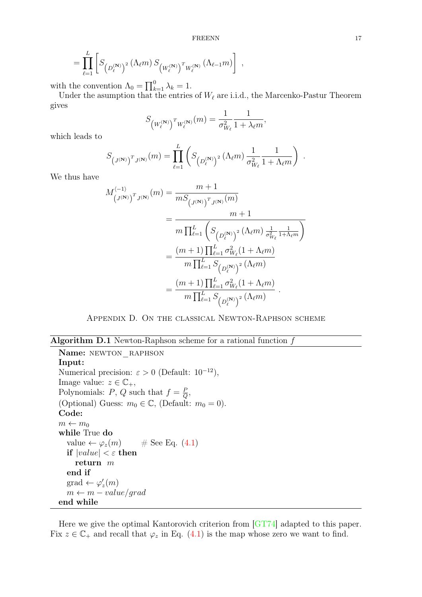$$
= \prod_{\ell=1}^{L} \left[ S_{\left(D_{\ell}^{(\mathbf{N})}\right)^2} \left(\Lambda_{\ell} m\right) S_{\left(W_{\ell}^{(\mathbf{N})}\right)^T W_{\ell}^{(\mathbf{N})}} \left(\Lambda_{\ell-1} m\right) \right],
$$

with the convention  $\Lambda_0 = \prod_{k=1}^0 \lambda_k = 1$ .

Under the asumption that the entries of  $W_{\ell}$  are i.i.d., the Marcenko-Pastur Theorem gives

$$
S_{(W_{\ell}^{(\mathbf{N})})^T W_{\ell}^{(\mathbf{N})}}(m) = \frac{1}{\sigma_{W_{\ell}}^2} \frac{1}{1 + \lambda_{\ell} m},
$$

which leads to

$$
S_{(J^{(\mathbf{N})})^T J^{(\mathbf{N})}}(m) = \prod_{\ell=1}^L \left( S_{(D_{\ell}^{(\mathbf{N})})^2}(\Lambda_{\ell}m) \frac{1}{\sigma_{W_{\ell}}^2} \frac{1}{1 + \Lambda_{\ell}m} \right) .
$$

We thus have

$$
M_{(J^{(\mathbf{N})})^T J^{(\mathbf{N})}}^{(-1)}(m) = \frac{m+1}{m S_{(J^{(\mathbf{N})})^T J^{(\mathbf{N})}}(m)}
$$
  
= 
$$
\frac{m+1}{m \prod_{\ell=1}^L \left( S_{(D_{\ell}^{(\mathbf{N})})^2} (\Lambda_{\ell} m) \frac{1}{\sigma_{W_{\ell}}^2} \frac{1}{1+\Lambda_{\ell} m} \right)}
$$
  
= 
$$
\frac{(m+1) \prod_{\ell=1}^L \sigma_{W_{\ell}}^2 (1+\Lambda_{\ell} m)}{m \prod_{\ell=1}^L S_{(D_{\ell}^{(\mathbf{N})})^2} (\Lambda_{\ell} m)}
$$
  
= 
$$
\frac{(m+1) \prod_{\ell=1}^L \sigma_{W_{\ell}}^2 (1+\Lambda_{\ell} m)}{m \prod_{\ell=1}^L S_{(D_{\ell}^{(\mathbf{N})})^2} (\Lambda_{\ell} m)}.
$$

Appendix D. On the classical Newton-Raphson scheme

## <span id="page-16-0"></span>**Algorithm D.1** Newton-Raphson scheme for a rational function  $f$

Name: NEWTON RAPHSON Input: Numerical precision:  $\varepsilon > 0$  (Default: 10<sup>-12</sup>), Image value:  $z \in \mathbb{C}_+,$ Polynomials: P, Q such that  $f = \frac{F}{C}$  $\frac{P}{Q},$ (Optional) Guess:  $m_0 \in \mathbb{C}$ , (Default:  $m_0 = 0$ ). Code:  $m \leftarrow m_0$ while True do value  $\leftarrow \varphi_z(m)$  # See Eq. [\(4.1\)](#page-9-1) if  $|value| < \varepsilon$  then return m end if  $\text{grad} \leftarrow \varphi'_z(m)$  $m \leftarrow m - value/grad$ end while

<span id="page-16-1"></span>Here we give the optimal Kantorovich criterion from [\[GT74\]](#page-20-18) adapted to this paper. Fix  $z \in \mathbb{C}_+$  and recall that  $\varphi_z$  in Eq. [\(4.1\)](#page-9-1) is the map whose zero we want to find.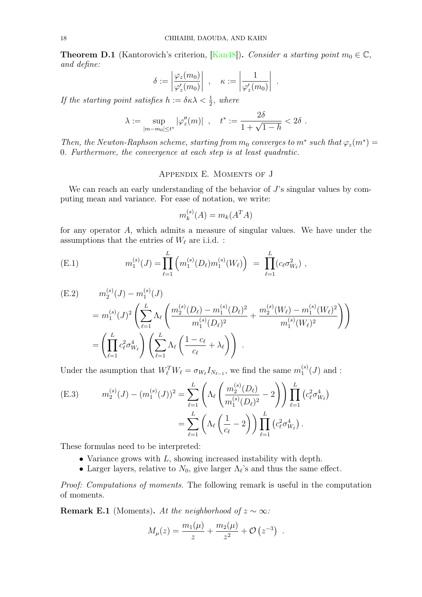<span id="page-17-1"></span>**Theorem D.1** (Kantorovich's criterion, [\[Kan48\]](#page-20-19)). Consider a starting point  $m_0 \in \mathbb{C}$ , and define:

$$
\delta := \left| \frac{\varphi_z(m_0)}{\varphi'_z(m_0)} \right| , \quad \kappa := \left| \frac{1}{\varphi'_z(m_0)} \right|
$$

.

If the starting point satisfies  $h := \delta \kappa \lambda < \frac{1}{2}$ , where

$$
\lambda := \sup_{|m - m_0| \le t^*} |\varphi_z''(m)| \ , \quad t^* := \frac{2\delta}{1 + \sqrt{1 - h}} < 2\delta \ .
$$

Then, the Newton-Raphson scheme, starting from  $m_0$  converges to  $m^*$  such that  $\varphi_z(m^*) =$ 0. Furthermore, the convergence at each step is at least quadratic.

# Appendix E. Moments of J

<span id="page-17-0"></span>We can reach an early understanding of the behavior of  $J$ 's singular values by computing mean and variance. For ease of notation, we write:

$$
m_k^{(s)}(A) = m_k(A^T A)
$$

for any operator A, which admits a measure of singular values. We have under the assumptions that the entries of  $W_{\ell}$  are i.i.d. :

<span id="page-17-2"></span>(E.1) 
$$
m_1^{(s)}(J) = \prod_{\ell=1}^L \left( m_1^{(s)}(D_\ell) m_1^{(s)}(W_\ell) \right) = \prod_{\ell=1}^L (c_\ell \sigma_{W_\ell}^2) ,
$$

<span id="page-17-3"></span>(E.2) 
$$
m_2^{(s)}(J) - m_1^{(s)}(J)
$$
  
=  $m_1^{(s)}(J)^2 \left( \sum_{\ell=1}^L \Lambda_\ell \left( \frac{m_2^{(s)}(D_\ell) - m_1^{(s)}(D_\ell)^2}{m_1^{(s)}(D_\ell)^2} + \frac{m_2^{(s)}(W_\ell) - m_1^{(s)}(W_\ell)^2}{m_1^{(s)}(W_\ell)^2} \right) \right)$   
=  $\left( \prod_{\ell=1}^L c_\ell^2 \sigma_{W_\ell}^4 \right) \left( \sum_{\ell=1}^L \Lambda_\ell \left( \frac{1 - c_\ell}{c_\ell} + \lambda_\ell \right) \right)$ .

Under the asumption that  $W_\ell^T W_\ell = \sigma_{W_\ell} I_{N_{\ell-1}}$ , we find the same  $m_1^{(s)}$  $j_1^{(s)}(J)$  and :

(E.3) 
$$
m_2^{(s)}(J) - (m_1^{(s)}(J))^2 = \sum_{\ell=1}^L \left( \Lambda_\ell \left( \frac{m_2^{(s)}(D_\ell)}{m_1^{(s)}(D_\ell)^2} - 2 \right) \right) \prod_{\ell=1}^L (c_\ell^2 \sigma_{W_\ell}^4)
$$

$$
= \sum_{\ell=1}^L \left( \Lambda_\ell \left( \frac{1}{c_\ell} - 2 \right) \right) \prod_{\ell=1}^L (c_\ell^2 \sigma_{W_\ell}^4).
$$

These formulas need to be interpreted:

- Variance grows with L, showing increased instability with depth.
- Larger layers, relative to  $N_0$ , give larger  $\Lambda_{\ell}$ 's and thus the same effect.

Proof: Computations of moments. The following remark is useful in the computation of moments.

<span id="page-17-4"></span>**Remark E.1** (Moments). At the neighborhood of  $z \sim \infty$ :

$$
M_{\mu}(z) = \frac{m_1(\mu)}{z} + \frac{m_2(\mu)}{z^2} + \mathcal{O}(z^{-3}) .
$$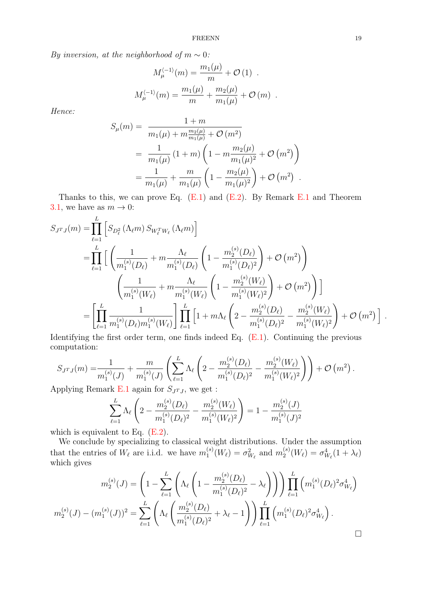By inversion, at the neighborhood of  $m \sim 0$ :

$$
M_{\mu}^{\langle -1 \rangle}(m) = \frac{m_1(\mu)}{m} + \mathcal{O}(1) .
$$
  

$$
M_{\mu}^{\langle -1 \rangle}(m) = \frac{m_1(\mu)}{m} + \frac{m_2(\mu)}{m_1(\mu)} + \mathcal{O}(m) .
$$

Hence:

 $\mathbf{r}$ 

$$
S_{\mu}(m) = \frac{1+m}{m_1(\mu) + m \frac{m_2(\mu)}{m_1(\mu)} + \mathcal{O}(m^2)}
$$
  
= 
$$
\frac{1}{m_1(\mu)} (1+m) \left(1 - m \frac{m_2(\mu)}{m_1(\mu)^2} + \mathcal{O}(m^2)\right)
$$
  
= 
$$
\frac{1}{m_1(\mu)} + \frac{m}{m_1(\mu)} \left(1 - \frac{m_2(\mu)}{m_1(\mu)^2}\right) + \mathcal{O}(m^2).
$$

Thanks to this, we can prove Eq.  $(E.1)$  and  $(E.2)$ . By Remark [E.1](#page-17-4) and Theorem [3.1,](#page-8-2) we have as  $m \to 0$ :

$$
S_{J^{T}J}(m) = \prod_{\ell=1}^{L} \left[ S_{D_{\ell}^{2}}(\Lambda_{\ell}m) S_{W_{\ell}^{T}W_{\ell}}(\Lambda_{\ell}m) \right]
$$
  
\n
$$
= \prod_{\ell=1}^{L} \left[ \left( \frac{1}{m_{1}^{(s)}(D_{\ell})} + m \frac{\Lambda_{\ell}}{m_{1}^{(s)}(D_{\ell})} \left( 1 - \frac{m_{2}^{(s)}(D_{\ell})}{m_{1}^{(s)}(D_{\ell})^{2}} \right) + \mathcal{O}(m^{2}) \right) \right]
$$
  
\n
$$
\left( \frac{1}{m_{1}^{(s)}(W_{\ell})} + m \frac{\Lambda_{\ell}}{m_{1}^{(s)}(W_{\ell})} \left( 1 - \frac{m_{2}^{(s)}(W_{\ell})}{m_{1}^{(s)}(W_{\ell})^{2}} \right) + \mathcal{O}(m^{2}) \right) \right]
$$
  
\n
$$
= \left[ \prod_{\ell=1}^{L} \frac{1}{m_{1}^{(s)}(D_{\ell})m_{1}^{(s)}(W_{\ell})} \right] \prod_{\ell=1}^{L} \left[ 1 + m \Lambda_{\ell} \left( 2 - \frac{m_{2}^{(s)}(D_{\ell})}{m_{1}^{(s)}(D_{\ell})^{2}} - \frac{m_{2}^{(s)}(W_{\ell})}{m_{1}^{(s)}(W_{\ell})^{2}} \right) + \mathcal{O}(m^{2}) \right]
$$

Identifying the first order term, one finds indeed Eq. [\(E.1\)](#page-17-2). Continuing the previous computation:

$$
S_{J^{T}J}(m) = \frac{1}{m_1^{(s)}(J)} + \frac{m}{m_1^{(s)}(J)} \left( \sum_{\ell=1}^{L} \Lambda_{\ell} \left( 2 - \frac{m_2^{(s)}(D_{\ell})}{m_1^{(s)}(D_{\ell})^2} - \frac{m_2^{(s)}(W_{\ell})}{m_1^{(s)}(W_{\ell})^2} \right) \right) + \mathcal{O}(m^2).
$$

Applying Remark [E.1](#page-17-4) again for  $S_{J^TJ}$ , we get :

$$
\sum_{\ell=1}^{L} \Lambda_{\ell} \left( 2 - \frac{m_2^{(s)}(D_{\ell})}{m_1^{(s)}(D_{\ell})^2} - \frac{m_2^{(s)}(W_{\ell})}{m_1^{(s)}(W_{\ell})^2} \right) = 1 - \frac{m_2^{(s)}(J)}{m_1^{(s)}(J)^2}
$$

which is equivalent to Eq.  $(E.2)$ .

We conclude by specializing to classical weight distributions. Under the assumption that the entries of  $W_{\ell}$  are i.i.d. we have  $m_1^{(s)}$  $j_1^{(s)}(W_\ell) = \sigma_{W_\ell}^2$  and  $m_2^{(s)}$  $\sigma_{2}^{(s)}(W_{\ell}) = \sigma_{W_{\ell}}^{4}(1+\lambda_{\ell})$ which gives

$$
m_2^{(s)}(J) = \left(1 - \sum_{\ell=1}^L \left(\Lambda_\ell \left(1 - \frac{m_2^{(s)}(D_\ell)}{m_1^{(s)}(D_\ell)^2} - \lambda_\ell\right)\right)\right) \prod_{\ell=1}^L \left(m_1^{(s)}(D_\ell)^2 \sigma_{W_\ell}^4\right)
$$

$$
m_2^{(s)}(J) - (m_1^{(s)}(J))^2 = \sum_{\ell=1}^L \left(\Lambda_\ell \left(\frac{m_2^{(s)}(D_\ell)}{m_1^{(s)}(D_\ell)^2} + \lambda_\ell - 1\right)\right) \prod_{\ell=1}^L \left(m_1^{(s)}(D_\ell)^2 \sigma_{W_\ell}^4\right).
$$

.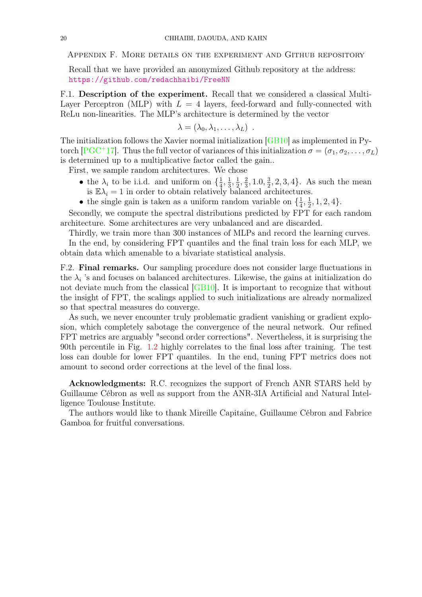<span id="page-19-0"></span>Appendix F. More details on the experiment and Github repository

Recall that we have provided an anonymized Github repository at the address: <https://github.com/redachhaibi/FreeNN>

<span id="page-19-1"></span>F.1. Description of the experiment. Recall that we considered a classical Multi-Layer Perceptron (MLP) with  $L = 4$  layers, feed-forward and fully-connected with ReLu non-linearities. The MLP's architecture is determined by the vector

$$
\lambda = (\lambda_0, \lambda_1, \ldots, \lambda_L) \enspace .
$$

The initialization follows the Xavier normal initialization [\[GB10\]](#page-20-1) as implemented in Py-torch [\[PGC](#page-20-2)<sup>+</sup>17]. Thus the full vector of variances of this initialization  $\sigma = (\sigma_1, \sigma_2, \ldots, \sigma_L)$ is determined up to a multiplicative factor called the gain..

First, we sample random architectures. We chose

- the  $\lambda_i$  to be i.i.d. and uniform on  $\{\frac{1}{4}\}$  $\frac{1}{4}, \frac{1}{3}$  $\frac{1}{3}, \frac{1}{2}$  $\frac{1}{2}, \frac{2}{3}$  $\frac{2}{3}$ , 1.0,  $\frac{3}{2}$  $\frac{3}{2}$ , 2, 3, 4}. As such the mean is  $\mathbb{E}\lambda_i = 1$  in order to obtain relatively balanced architectures.
- the single gain is taken as a uniform random variable on  $\{\frac{1}{4}\}$  $\frac{1}{4}, \frac{1}{2}$  $\frac{1}{2}, 1, 2, 4\}.$

Secondly, we compute the spectral distributions predicted by FPT for each random architecture. Some architectures are very unbalanced and are discarded.

Thirdly, we train more than 300 instances of MLPs and record the learning curves. In the end, by considering FPT quantiles and the final train loss for each MLP, we obtain data which amenable to a bivariate statistical analysis.

<span id="page-19-2"></span>F.2. Final remarks. Our sampling procedure does not consider large fluctuations in the  $\lambda_i$  's and focuses on balanced architectures. Likewise, the gains at initialization do not deviate much from the classical  $\left[\text{GB10}\right]$ . It is important to recognize that without the insight of FPT, the scalings applied to such initializations are already normalized so that spectral measures do converge.

As such, we never encounter truly problematic gradient vanishing or gradient explosion, which completely sabotage the convergence of the neural network. Our refined FPT metrics are arguably "second order corrections". Nevertheless, it is surprising the 90th percentile in Fig. [1.2](#page-5-3) highly correlates to the final loss after training. The test loss can double for lower FPT quantiles. In the end, tuning FPT metrics does not amount to second order corrections at the level of the final loss.

Acknowledgments: R.C. recognizes the support of French ANR STARS held by Guillaume Cébron as well as support from the ANR-3IA Artificial and Natural Intelligence Toulouse Institute.

The authors would like to thank Mireille Capitaine, Guillaume Cébron and Fabrice Gamboa for fruitful conversations.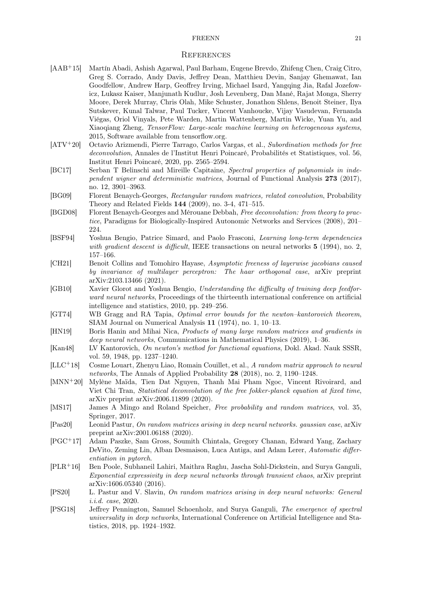#### <span id="page-20-0"></span>**REFERENCES**

- <span id="page-20-3"></span>[AAB+15] Martín Abadi, Ashish Agarwal, Paul Barham, Eugene Brevdo, Zhifeng Chen, Craig Citro, Greg S. Corrado, Andy Davis, Jeffrey Dean, Matthieu Devin, Sanjay Ghemawat, Ian Goodfellow, Andrew Harp, Geoffrey Irving, Michael Isard, Yangqing Jia, Rafal Jozefowicz, Lukasz Kaiser, Manjunath Kudlur, Josh Levenberg, Dan Mané, Rajat Monga, Sherry Moore, Derek Murray, Chris Olah, Mike Schuster, Jonathon Shlens, Benoit Steiner, Ilya Sutskever, Kunal Talwar, Paul Tucker, Vincent Vanhoucke, Vijay Vasudevan, Fernanda Viégas, Oriol Vinyals, Pete Warden, Martin Wattenberg, Martin Wicke, Yuan Yu, and Xiaoqiang Zheng, TensorFlow: Large-scale machine learning on heterogeneous systems, 2015, Software available from tensorflow.org.
- <span id="page-20-12"></span>[ATV+20] Octavio Arizmendi, Pierre Tarrago, Carlos Vargas, et al., Subordination methods for free deconvolution, Annales de l'Institut Henri Poincaré, Probabilités et Statistiques, vol. 56, Institut Henri Poincaré, 2020, pp. 2565–2594.
- <span id="page-20-17"></span>[BC17] Serban T Belinschi and Mireille Capitaine, Spectral properties of polynomials in independent wigner and deterministic matrices, Journal of Functional Analysis 273 (2017), no. 12, 3901–3963.
- <span id="page-20-15"></span>[BG09] Florent Benaych-Georges, Rectangular random matrices, related convolution, Probability Theory and Related Fields 144 (2009), no. 3-4, 471–515.
- <span id="page-20-11"></span>[BGD08] Florent Benaych-Georges and Mérouane Debbah, Free deconvolution: from theory to practice, Paradigms for Biologically-Inspired Autonomic Networks and Services (2008), 201– 224.
- <span id="page-20-14"></span>[BSF94] Yoshua Bengio, Patrice Simard, and Paolo Frasconi, Learning long-term dependencies with gradient descent is difficult. IEEE transactions on neural networks **5** (1994), no. 2, 157–166.
- <span id="page-20-10"></span>[CH21] Benoit Collins and Tomohiro Hayase, Asymptotic freeness of layerwise jacobians caused by invariance of multilayer perceptron: The haar orthogonal case, arXiv preprint arXiv:2103.13466 (2021).
- <span id="page-20-1"></span>[GB10] Xavier Glorot and Yoshua Bengio, Understanding the difficulty of training deep feedforward neural networks, Proceedings of the thirteenth international conference on artificial intelligence and statistics, 2010, pp. 249–256.
- <span id="page-20-18"></span>[GT74] WB Gragg and RA Tapia, Optimal error bounds for the newton–kantorovich theorem, SIAM Journal on Numerical Analysis 11 (1974), no. 1, 10–13.
- <span id="page-20-8"></span>[HN19] Boris Hanin and Mihai Nica, Products of many large random matrices and gradients in deep neural networks, Communications in Mathematical Physics (2019), 1–36.
- <span id="page-20-19"></span>[Kan48] LV Kantorovich, On newton's method for functional equations, Dokl. Akad. Nauk SSSR, vol. 59, 1948, pp. 1237–1240.
- <span id="page-20-6"></span>[LLC<sup>+</sup>18] Cosme Louart, Zhenyu Liao, Romain Couillet, et al., A random matrix approach to neural networks, The Annals of Applied Probability 28 (2018), no. 2, 1190–1248.
- <span id="page-20-13"></span>[MNN<sup>+</sup>20] Mylène Maïda, Tien Dat Nguyen, Thanh Mai Pham Ngoc, Vincent Rivoirard, and Viet Chi Tran, Statistical deconvolution of the free fokker-planck equation at fixed time, arXiv preprint arXiv:2006.11899 (2020).
- <span id="page-20-7"></span>[MS17] James A Mingo and Roland Speicher, Free probability and random matrices, vol. 35, Springer, 2017.
- <span id="page-20-9"></span>[Pas20] Leonid Pastur, On random matrices arising in deep neural networks. gaussian case, arXiv preprint arXiv:2001.06188 (2020).
- <span id="page-20-2"></span>[PGC<sup>+</sup>17] Adam Paszke, Sam Gross, Soumith Chintala, Gregory Chanan, Edward Yang, Zachary DeVito, Zeming Lin, Alban Desmaison, Luca Antiga, and Adam Lerer, Automatic differentiation in pytorch.
- <span id="page-20-16"></span>[PLR<sup>+</sup>16] Ben Poole, Subhaneil Lahiri, Maithra Raghu, Jascha Sohl-Dickstein, and Surya Ganguli, Exponential expressivity in deep neural networks through transient chaos, arXiv preprint arXiv:1606.05340 (2016).
- <span id="page-20-4"></span>[PS20] L. Pastur and V. Slavin, On random matrices arising in deep neural networks: General i.i.d. case, 2020.
- <span id="page-20-5"></span>[PSG18] Jeffrey Pennington, Samuel Schoenholz, and Surya Ganguli, The emergence of spectral universality in deep networks, International Conference on Artificial Intelligence and Statistics, 2018, pp. 1924–1932.